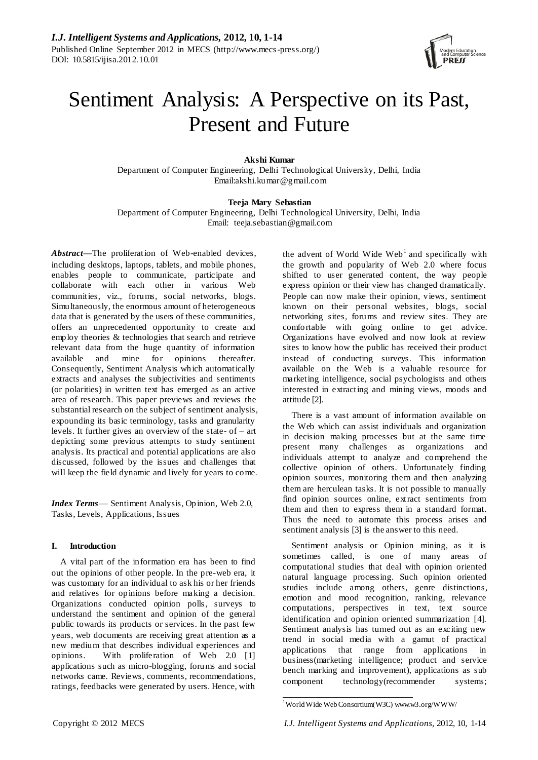

# Sentiment Analysis: A Perspective on its Past, Present and Future

**Akshi Kumar** Department of Computer Engineering, Delhi Technological University, Delhi, India Email:akshi.kumar@gmail.com

**Teeja Mary Sebastian**

Department of Computer Engineering, Delhi Technological University, Delhi, India Email: teeja.sebastian@gmail.com

*Abstract***—**The proliferation of Web-enabled devices, including desktops, laptops, tablets, and mobile phones, enables people to communicate, participate and collaborate with each other in various Web communities, viz., forums, social networks, blogs. Simultaneously, the enormous amount of heterogeneous data that is generated by the users of these communities, offers an unprecedented opportunity to create and employ theories & technologies that search and retrieve relevant data from the huge quantity of information available and mine for opinions thereafter. Consequently, Sentiment Analysis which automatically extracts and analyses the subjectivities and sentiments (or polarities) in written text has emerged as an active area of research. This paper previews and reviews the substantial research on the subject of sentiment analysis, expounding its basic terminology, tasks and granularity levels. It further gives an overview of the state- of – art depicting some previous attempts to study sentiment analysis. Its practical and potential applications are also discussed, followed by the issues and challenges that will keep the field dynamic and lively for years to come.

*Index Terms*— Sentiment Analysis, Opinion, Web 2.0, Tasks, Levels, Applications, Issues

# **I. Introduction**

A vital part of the information era has been to find out the opinions of other people. In the pre-web era, it was customary for an individual to ask his or her friends and relatives for opinions before making a decision. Organizations conducted opinion polls, surveys to understand the sentiment and opinion of the general public towards its products or services. In the past few years, web documents are receiving great attention as a new medium that describes individual experiences and opinions. With proliferation of Web 2.0 [1] applications such as micro-blogging, forums and social networks came. Reviews, comments, recommendations, ratings, feedbacks were generated by users. Hence, with

the advent of World Wide  $Web<sup>1</sup>$  and specifically with the growth and popularity of Web 2.0 where focus shifted to user generated content, the way people express opinion or their view has changed dramatically. People can now make their opinion, views, sentiment known on their personal websites, blogs, social networking sites, forums and review sites. They are comfortable with going online to get advice. Organizations have evolved and now look at review sites to know how the public has received their product instead of conducting surveys. This information available on the Web is a valuable resource for marketing intelligence, social psychologists and others interested in extracting and mining views, moods and attitude [2].

There is a vast amount of information available on the Web which can assist individuals and organization in decision making processes but at the same time present many challenges as organizations and individuals attempt to analyze and comprehend the collective opinion of others. Unfortunately finding opinion sources, monitoring them and then analyzing them are herculean tasks. It is not possible to manually find opinion sources online, extract sentiments from them and then to express them in a standard format. Thus the need to automate this process arises and sentiment analysis [3] is the answer to this need.

Sentiment analysis or Opinion mining, as it is sometimes called, is one of many areas of computational studies that deal with opinion oriented natural language processing. Such opinion oriented studies include among others, genre distinctions, emotion and mood recognition, ranking, relevance computations, perspectives in text, text source identification and opinion oriented summarization [4]. Sentiment analysis has turned out as an exciting new trend in social media with a gamut of practical applications that range from applications in business(marketing intelligence; product and service bench marking and improvement), applications as sub component technology(recommender systems;

į <sup>1</sup>World Wide Web Consortium(W3C) www.w3.org/WWW/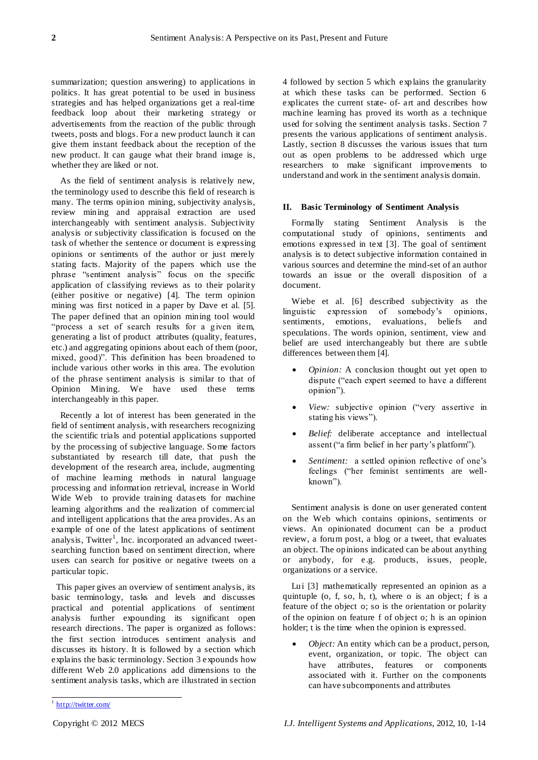summarization; question answering) to applications in politics. It has great potential to be used in business strategies and has helped organizations get a real-time feedback loop about their marketing strategy or advertisements from the reaction of the public through tweets, posts and blogs. For a new product launch it can give them instant feedback about the reception of the new product. It can gauge what their brand image is, whether they are liked or not.

As the field of sentiment analysis is relatively new, the terminology used to describe this field of research is many. The terms opinion mining, subjectivity analysis, review mining and appraisal extraction are used interchangeably with sentiment analysis. Subjectivity analysis or subjectivity classification is focused on the task of whether the sentence or document is expressing opinions or sentiments of the author or just merely stating facts. Majority of the papers which use the phrase "sentiment analysis" focus on the specific application of classifying reviews as to their polarity (either positive or negative) [4]. The term opinion mining was first noticed in a paper by Dave et al. [5]. The paper defined that an opinion mining tool would "process a set of search results for a given item, generating a list of product attributes (quality, features, etc.) and aggregating opinions about each of them (poor, mixed, good)". This definition has been broadened to include various other works in this area. The evolution of the phrase sentiment analysis is similar to that of Opinion Mining. We have used these terms interchangeably in this paper.

Recently a lot of interest has been generated in the field of sentiment analysis, with researchers recognizing the scientific trials and potential applications supported by the processing of subjective language. Some factors substantiated by research till date, that push the development of the research area, include, augmenting of machine learning methods in natural language processing and information retrieval, increase in World Wide Web to provide training datasets for machine learning algorithms and the realization of commercial and intelligent applications that the area provides. As an example of one of the latest applications of sentiment analysis, Twitter<sup>1</sup>, Inc. incorporated an advanced tweetsearching function based on sentiment direction, where users can search for positive or negative tweets on a particular topic.

This paper gives an overview of sentiment analysis, its basic terminology, tasks and levels and discusses practical and potential applications of sentiment analysis further expounding its significant open research directions. The paper is organized as follows: the first section introduces sentiment analysis and discusses its history. It is followed by a section which explains the basic terminology. Section 3 expounds how different Web 2.0 applications add dimensions to the sentiment analysis tasks, which are illustrated in section 4 followed by section 5 which explains the granularity at which these tasks can be performed. Section 6 explicates the current state- of- art and describes how machine learning has proved its worth as a technique used for solving the sentiment analysis tasks. Section 7 presents the various applications of sentiment analysis. Lastly, section 8 discusses the various issues that turn out as open problems to be addressed which urge researchers to make significant improvements to understand and work in the sentiment analysis domain.

#### **II. Basic Terminology of Sentiment Analysis**

Formally stating Sentiment Analysis is the computational study of opinions, sentiments and emotions expressed in text [3]. The goal of sentiment analysis is to detect subjective information contained in various sources and determine the mind-set of an author towards an issue or the overall disposition of a document.

Wiebe et al. [6] described subjectivity as the linguistic expression of somebody's opinions, sentiments, emotions, evaluations, beliefs and speculations. The words opinion, sentiment, view and belief are used interchangeably but there are subtle differences between them [4].

- *Opinion:* A conclusion thought out yet open to dispute ("each expert seemed to have a different opinion").
- *View:* subjective opinion ("very assertive in stating his views").
- *Belief:* deliberate acceptance and intellectual assent ("a firm belief in her party's platform").
- *Sentiment:* a settled opinion reflective of one's feelings ("her feminist sentiments are wellknown").

Sentiment analysis is done on user generated content on the Web which contains opinions, sentiments or views. An opinionated document can be a product review, a forum post, a blog or a tweet, that evaluates an object. The opinions indicated can be about anything or anybody, for e .g. products, issues, people, organizations or a service.

Lui [3] mathematically represented an opinion as a quintuple (o, f, so, h, t), where o is an object; f is a feature of the object o; so is the orientation or polarity of the opinion on feature f of object o; h is an opinion holder; t is the time when the opinion is expressed.

 *Object:* An entity which can be a product, person, event, organization, or topic. The object can have attributes, features or components associated with it. Further on the components can have subcomponents and attributes

<sup>&</sup>lt;sup>1</sup> <http://twitter.com/>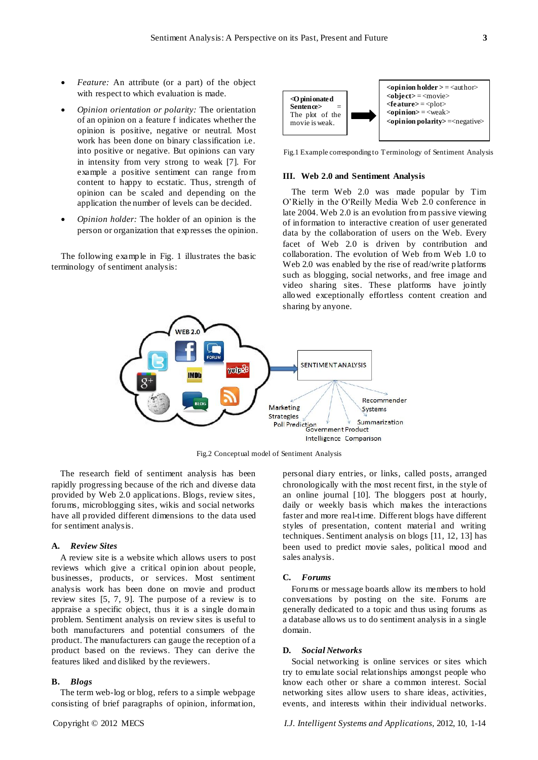- *Feature:* An attribute (or a part) of the object with respect to which evaluation is made.
- *Opinion orientation or polarity:* The orientation of an opinion on a feature f indicates whether the opinion is positive, negative or neutral. Most work has been done on binary classification i.e. into positive or negative. But opinions can vary in intensity from very strong to weak [7]. For example a positive sentiment can range from content to happy to ecstatic. Thus, strength of opinion can be scaled and depending on the application the number of levels can be decided.
- *Opinion holder:* The holder of an opinion is the person or organization that expresses the opinion.

The following example in Fig. 1 illustrates the basic terminology of sentiment analysis:



Fig.1 Example corresponding to Terminology of Sentiment Analysis

# **III. Web 2.0 and Sentiment Analysis**

The term Web 2.0 was made popular by Tim O'Rielly in the O'Reilly Media Web 2.0 conference in late 2004. Web 2.0 is an evolution from passive viewing of information to interactive creation of user generated data by the collaboration of users on the Web. Every facet of Web 2.0 is driven by contribution and collaboration. The evolution of Web from Web 1.0 to Web 2.0 was enabled by the rise of read/write platforms such as blogging, social networks, and free image and video sharing sites. These platforms have jointly allowed exceptionally effortless content creation and sharing by anyone.



Fig.2 Conceptual model of Sentiment Analysis

The research field of sentiment analysis has been rapidly progressing because of the rich and diverse data provided by Web 2.0 applications. Blogs, review sites, forums, microblogging sites, wikis and social networks have all provided different dimensions to the data used for sentiment analysis.

#### **A.** *Review Sites*

A review site is a website which allows users to post reviews which give a critical opinion about people, businesses, products, or services. Most sentiment analysis work has been done on movie and product review sites [5, 7, 9]. The purpose of a review is to appraise a specific object, thus it is a single domain problem. Sentiment analysis on review sites is useful to both manufacturers and potential consumers of the product. The manufacturers can gauge the reception of a product based on the reviews. They can derive the features liked and disliked by the reviewers.

## **B.** *Blogs*

The term web-log or blog, refers to a simple webpage consisting of brief paragraphs of opinion, information,

personal diary entries, or links, called posts, arranged chronologically with the most recent first, in the style of an online journal [10]. The bloggers post at hourly, daily or weekly basis which makes the interactions faster and more real-time. Different blogs have different styles of presentation, content material and writing techniques. Sentiment analysis on blogs [11, 12, 13] has been used to predict movie sales, political mood and sales analysis.

#### **C.** *Forums*

Forums or message boards allow its members to hold conversations by posting on the site. Forums are generally dedicated to a topic and thus using forums as a database allows us to do sentiment analysis in a single domain.

#### **D.** *Social Networks*

Social networking is online services or sites which try to emulate social relationships amongst people who know each other or share a common interest. Social networking sites allow users to share ideas, activities, events, and interests within their individual networks.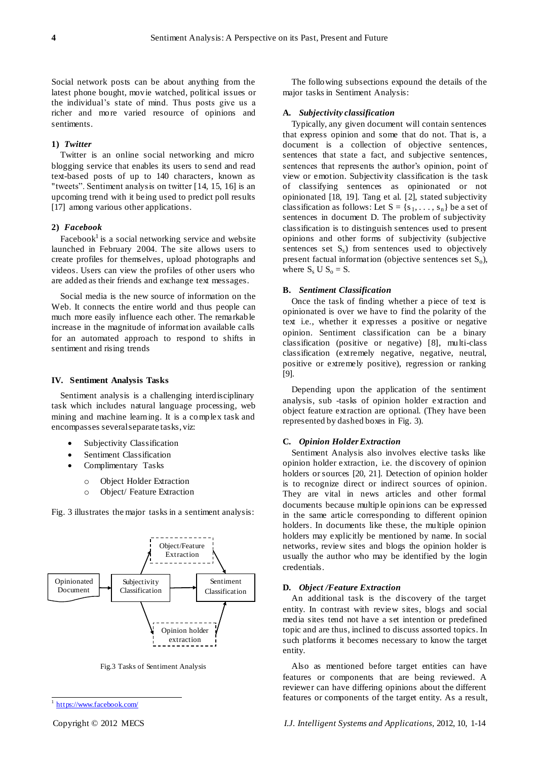Social network posts can be about anything from the latest phone bought, movie watched, political issues or the individual's state of mind. Thus posts give us a richer and more varied resource of opinions and sentiments.

#### **1)** *Twitter*

Twitter is an online social networking and micro blogging service that enables its users to send and read text-based posts of up to 140 characters, known as "tweets". Sentiment analysis on twitter [14, 15, 16] is an upcoming trend with it being used to predict poll results [17] among various other applications.

## **2)** *Facebook*

Facebook<sup>1</sup> is a social networking service and website launched in February 2004. The site allows users to create profiles for themselves, upload photographs and videos. Users can view the profiles of other users who are added as their friends and exchange text messages.

Social media is the new source of information on the Web. It connects the entire world and thus people can much more easily influence each other. The remarkable increase in the magnitude of information available calls for an automated approach to respond to shifts in sentiment and rising trends

#### **IV. Sentiment Analysis Tasks**

Sentiment analysis is a challenging interdisciplinary task which includes natural language processing, web mining and machine learning. It is a complex task and encompasses several separate tasks, viz:

- Subjectivity Classification
- Sentiment Classification
- Complimentary Tasks
	- o Object Holder Extraction
	- o Object/ Feature Extraction

Fig. 3 illustrates the major tasks in a sentiment analysis:



Fig.3 Tasks of Sentiment Analysis

l

The following subsections expound the details of the major tasks in Sentiment Analysis:

#### **A.** *Subjectivity classification*

Typically, any given document will contain sentences that express opinion and some that do not. That is, a document is a collection of objective sentences, sentences that state a fact, and subjective sentences, sentences that represents the author's opinion, point of view or emotion. Subjectivity classification is the task of classifying sentences as opinionated or not opinionated [18, 19]. Tang et al. [2], stated subjectivity classification as follows: Let  $S = \{s_1, \ldots, s_n\}$  be a set of sentences in document D. The problem of subjectivity classification is to distinguish sentences used to present opinions and other forms of subjectivity (subjective sentences set  $S_s$ ) from sentences used to objectively present factual information (objective sentences set  $S_0$ ), where  $S_s$  U  $S_o = S$ .

## **B.** *Sentiment Classification*

Once the task of finding whether a piece of text is opinionated is over we have to find the polarity of the text i.e., whether it expresses a positive or negative opinion. Sentiment classification can be a binary classification (positive or negative) [8], multi-class classification (extremely negative, negative, neutral, positive or extremely positive), regression or ranking [9].

Depending upon the application of the sentiment analysis, sub -tasks of opinion holder extraction and object feature extraction are optional. (They have been represented by dashed boxes in Fig. 3).

#### **C.** *Opinion Holder Extraction*

Sentiment Analysis also involves elective tasks like opinion holder extraction, i.e. the discovery of opinion holders or sources [20, 21]. Detection of opinion holder is to recognize direct or indirect sources of opinion. They are vital in news articles and other formal documents because multiple opinions can be expressed in the same article corresponding to different opinion holders. In documents like these, the multiple opinion holders may explicitly be mentioned by name. In social networks, review sites and blogs the opinion holder is usually the author who may be identified by the login credentials.

### **D.** *Object /Feature Extraction*

An additional task is the discovery of the target entity. In contrast with review sites, blogs and social media sites tend not have a set intention or predefined topic and are thus, inclined to discuss assorted topics. In such platforms it becomes necessary to know the target entity.

Also as mentioned before target entities can have features or components that are being reviewed. A reviewer can have differing opinions about the different features or components of the target entity. As a result,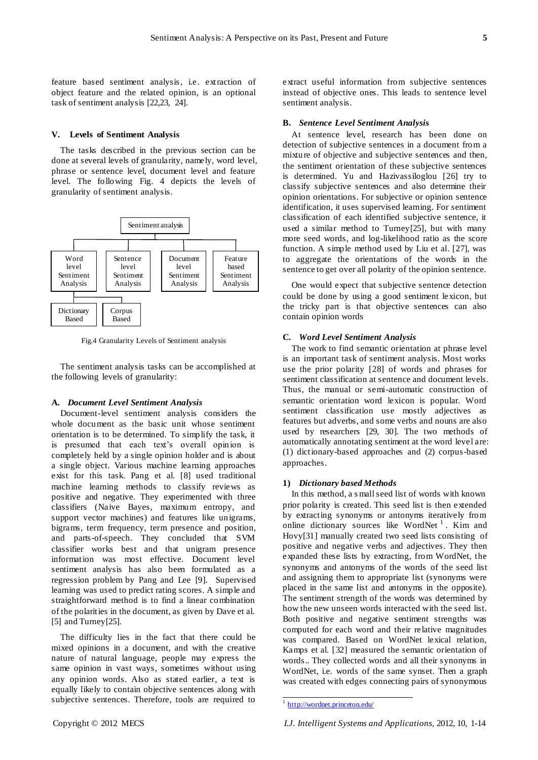feature based sentiment analysis, i.e. extraction of object feature and the related opinion, is an optional task of sentiment analysis [22,23, 24].

#### **V. Levels of Sentiment Analysis**

The tasks described in the previous section can be done at several levels of granularity, namely, word level, phrase or sentence level, document level and feature level. The following Fig. 4 depicts the levels of granularity of sentiment analysis.



Fig.4 Granularity Levels of Sentiment analysis

The sentiment analysis tasks can be accomplished at the following levels of granularity:

#### **A.** *Document Level Sentiment Analysis*

Document-level sentiment analysis considers the whole document as the basic unit whose sentiment orientation is to be determined. To simplify the task, it is presumed that each text's overall opinion is completely held by a single opinion holder and is about a single object. Various machine learning approaches exist for this task. Pang et al. [8] used traditional machine learning methods to classify reviews as positive and negative. They experimented with three classifiers (Naive Bayes, maximum entropy, and support vector machines) and features like unigrams, bigrams, term frequency, term presence and position, and parts-of-speech. They concluded that SVM classifier works best and that unigram presence information was most effective. Document level sentiment analysis has also been formulated as a regression problem by Pang and Lee [9]. Supervised learning was used to predict rating scores. A simple and straightforward method is to find a linear combination of the polarities in the document, as given by Dave et al. [5] and Turney[25].

The difficulty lies in the fact that there could be mixed opinions in a document, and with the creative nature of natural language, people may express the same opinion in vast ways, sometimes without using any opinion words. Also as stated earlier, a text is equally likely to contain objective sentences along with subjective sentences. Therefore, tools are required to

extract useful information from subjective sentences instead of objective ones. This leads to sentence level sentiment analysis.

#### **B.** *Sentence Level Sentiment Analysis*

At sentence level, research has been done on detection of subjective sentences in a document from a mixture of objective and subjective sentences and then, the sentiment orientation of these subjective sentences is determined. Yu and Hazivassiloglou [26] try to classify subjective sentences and also determine their opinion orientations. For subjective or opinion sentence identification, it uses supervised learning. For sentiment classification of each identified subjective sentence, it used a similar method to Turney[25], but with many more seed words, and log-likelihood ratio as the score function. A simple method used by Liu et al. [27], was to aggregate the orientations of the words in the sentence to get over all polarity of the opinion sentence.

One would expect that subjective sentence detection could be done by using a good sentiment lexicon, but the tricky part is that objective sentences can also contain opinion words

#### **C.** *Word Level Sentiment Analysis*

The work to find semantic orientation at phrase level is an important task of sentiment analysis. Most works use the prior polarity [28] of words and phrases for sentiment classification at sentence and document levels. Thus, the manual or semi-automatic construction of semantic orientation word lexicon is popular. Word sentiment classification use mostly adjectives as features but adverbs, and some verbs and nouns are also used by researchers [29, 30]. The two methods of automatically annotating sentiment at the word level are: (1) dictionary-based approaches and (2) corpus-based approaches.

## **1)** *Dictionary based Methods*

In this method, a s mall seed list of words with known prior polarity is created. This seed list is then extended by extracting synonyms or antonyms iteratively from online dictionary sources like WordNet<sup>1</sup>. Kim and Hovy[31] manually created two seed lists consisting of positive and negative verbs and adjectives. They then expanded these lists by extracting, from WordNet, the synonyms and antonyms of the words of the seed list and assigning them to appropriate list (synonyms were placed in the same list and antonyms in the opposite). The sentiment strength of the words was determined by how the new unseen words interacted with the seed list. Both positive and negative sentiment strengths was computed for each word and their relative magnitudes was compared. Based on WordNet lexical relation, Kamps et al. [32] measured the semantic orientation of words.. They collected words and all their synonyms in WordNet, i.e. words of the same synset. Then a graph was created with edges connecting pairs of synonymous

į <sup>1</sup> <http://wordnet.princeton.edu/>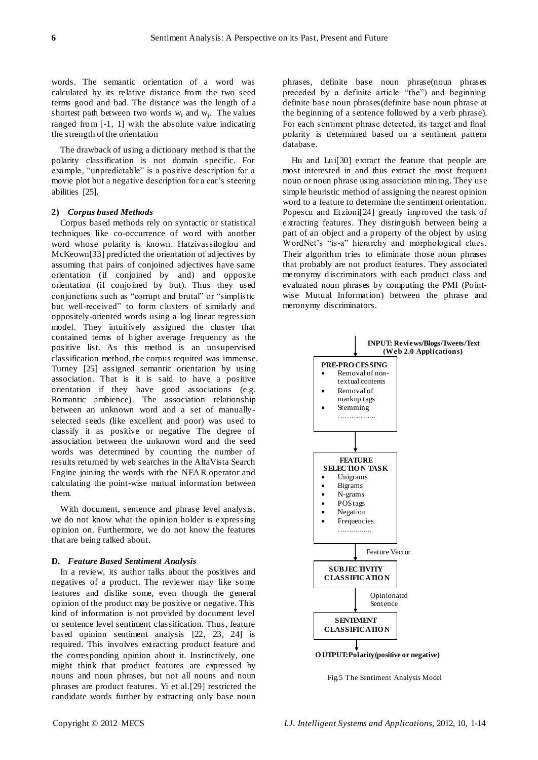words. The semantic orientation of a word was calculated by its relative distance from the two seed terms good and bad. The distance was the length of a shortest path between two words  $w_i$  and  $w_j$ . The values ranged from [-1, 1] with the absolute value indicating the strength of the orientation

The drawback of using a dictionary method is that the polarity classification is not domain specific. For example, "unpredictable" is a positive description for a movie plot but a negative description for a car's steering abilities [25].

## **2)** *Corpus based Methods*

Corpus based methods rely on syntactic or statistical techniques like co-occurrence of word with another word whose polarity is known. Hatzivassiloglou and McKeown[33] predicted the orientation of adjectives by assuming that pairs of conjoined adjectives have same orientation (if conjoined by and) and opposite orientation (if conjoined by but). Thus they used conjunctions such as "corrupt and brutal" or "simplistic but well-received" to form clusters of similarly and oppositely-oriented words using a log linear regression model. They intuitively assigned the cluster that contained terms of higher average frequency as the positive list. As this method is an unsupervised classification method, the corpus required was immense. Turney [25] assigned semantic orientation by using association. That is it is said to have a positive orientation if they have good associations (e.g. Romantic ambience). The association relationship between an unknown word and a set of manuallyselected seeds (like excellent and poor) was used to classify it as positive or negative The degree of association between the unknown word and the seed words was determined by counting the number of results returned by web searches in the AltaVista Search Engine joining the words with the NEAR operator and calculating the point-wise mutual information between them.

With document, sentence and phrase level analysis, we do not know what the opinion holder is expressing opinion on. Furthermore, we do not know the features that are being talked about.

#### **D.** *Feature Based Sentiment Analysis*

In a review, its author talks about the positives and negatives of a product. The reviewer may like some features and dislike some, even though the general opinion of the product may be positive or negative. This kind of information is not provided by document level or sentence level sentiment classification. Thus, feature based opinion sentiment analysis [22, 23, 24] is required. This involves extracting product feature and the corresponding opinion about it. Instinctively, one might think that product features are expressed by nouns and noun phrases, but not all nouns and noun phrases are product features. Yi et al.[29] restricted the candidate words further by extracting only base noun phrases, definite base noun phrase(noun phrases preceded by a definite article "the") and beginning definite base noun phrases(definite base noun phrase at the beginning of a sentence followed by a verb phrase). For each sentiment phrase detected, its target and final polarity is determined based on a sentiment pattern database.

Hu and Lui[30] extract the feature that people are most interested in and thus extract the most frequent noun or noun phrase using association mining. They use simple heuristic method of assigning the nearest opinion word to a feature to determine the sentiment orientation. Popescu and Etzioni[24] greatly improved the task of extracting features. They distinguish between being a part of an object and a property of the object by using WordNet's "is-a" hierarchy and morphological clues. Their algorithm tries to eliminate those noun phrases that probably are not product features. They associated meronymy discriminators with each product class and evaluated noun phrases by computing the PMI (Pointwise Mutual Information) between the phrase and meronymy discriminators.



Fig.5 The Sentiment Analysis Model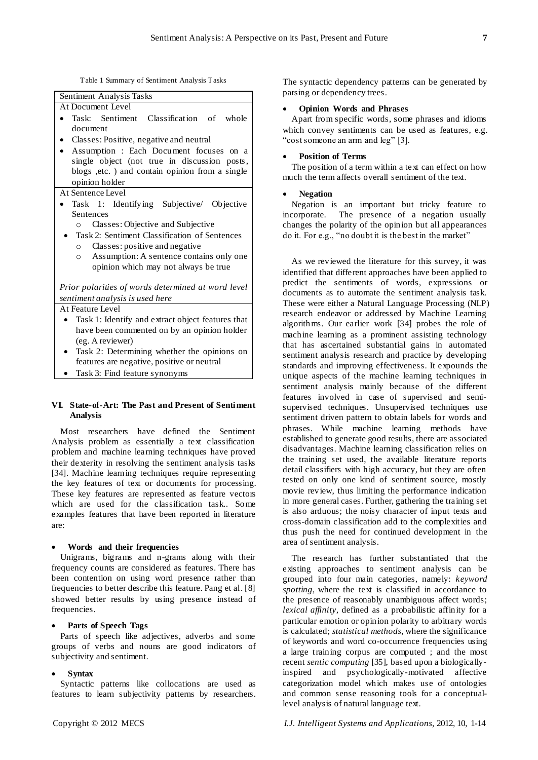Table 1 Summary of Sentiment Analysis Tasks



# At Sentence Level

- Task 1: Identifying Subjective/ Objective Sentences
	- o Classes: Objective and Subjective
	- Task 2: Sentiment Classification of Sentences o Classes: positive and negative
		- o Assumption: A sentence contains only one opinion which may not always be true

*Prior polarities of words determined at word level sentiment analysis is used here*

At Feature Level

- Task 1: Identify and extract object features that have been commented on by an opinion holder (eg. A reviewer)
- Task 2: Determining whether the opinions on features are negative, positive or neutral
- Task 3: Find feature synonyms

# **VI. State-of-Art: The Past and Present of Sentiment Analysis**

Most researchers have defined the Sentiment Analysis problem as essentially a text classification problem and machine learning techniques have proved their dexterity in resolving the sentiment analysis tasks [34]. Machine learning techniques require representing the key features of text or documents for processing. These key features are represented as feature vectors which are used for the classification task.. Some examples features that have been reported in literature are:

## **Words and their frequencies**

Unigrams, bigrams and n-grams along with their frequency counts are considered as features. There has been contention on using word presence rather than frequencies to better describe this feature. Pang et al. [8] showed better results by using presence instead of frequencies.

## **Parts of Speech Tags**

Parts of speech like adjectives, adverbs and some groups of verbs and nouns are good indicators of subjectivity and sentiment.

## **Syntax**

Syntactic patterns like collocations are used as features to learn subjectivity patterns by researchers. The syntactic dependency patterns can be generated by parsing or dependency trees.

## **Opinion Words and Phrases**

Apart from specific words, some phrases and idioms which convey sentiments can be used as features, e.g. "cost someone an arm and leg" [3].

## **Position of Terms**

The position of a term within a text can effect on how much the term affects overall sentiment of the text.

## **Negation**

Negation is an important but tricky feature to incorporate. The presence of a negation usually changes the polarity of the opinion but all appearances do it. For e.g., "no doubt it is the best in the market"

As we reviewed the literature for this survey, it was identified that different approaches have been applied to predict the sentiments of words, expressions or documents as to automate the sentiment analysis task. These were either a Natural Language Processing (NLP) research endeavor or addressed by Machine Learning algorithms. Our earlier work [34] probes the role of machine learning as a prominent assisting technology that has ascertained substantial gains in automated sentiment analysis research and practice by developing standards and improving effectiveness. It expounds the unique aspects of the machine learning techniques in sentiment analysis mainly because of the different features involved in case of supervised and semisupervised techniques. Unsupervised techniques use sentiment driven pattern to obtain labels for words and phrases. While machine learning methods have established to generate good results, there are associated disadvantages. Machine learning classification relies on the training set used, the available literature reports detail classifiers with high accuracy, but they are often tested on only one kind of sentiment source, mostly movie review, thus limiting the performance indication in more general cases. Further, gathering the training set is also arduous; the noisy character of input texts and cross-domain classification add to the complexities and thus push the need for continued development in the area of sentiment analysis.

The research has further substantiated that the existing approaches to sentiment analysis can be grouped into four main categories, namely: *keyword spotting*, where the text is classified in accordance to the presence of reasonably unambiguous affect words; *lexical affinity*, defined as a probabilistic affinity for a particular emotion or opinion polarity to arbitrary words is calculated; *statistical methods*, where the significance of keywords and word co-occurrence frequencies using a large training corpus are computed ; and the most recent *sentic computing* [35], based upon a biologicallyinspired and psychologically-motivated affective categorization model which makes use of ontologies and common sense reasoning tools for a conceptuallevel analysis of natural language text.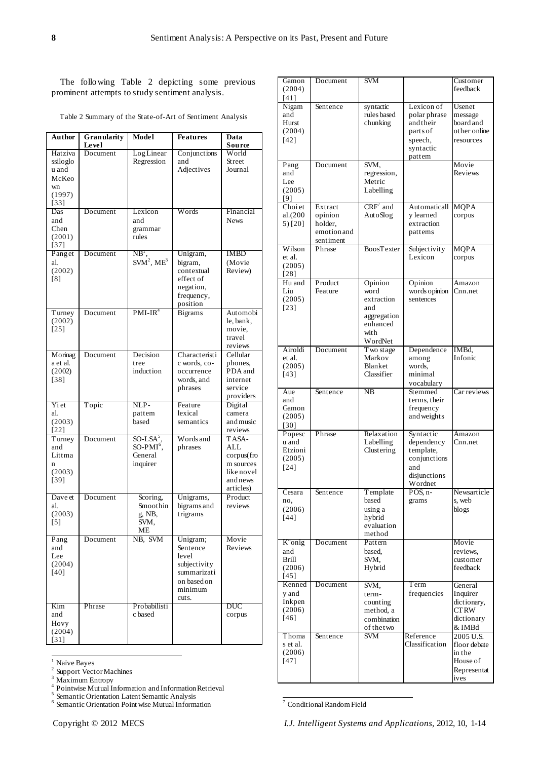The following Table 2 depicting some previous prominent attempts to study sentiment analysis.

Table 2 Summary of the State-of-Art of Sentiment Analysis

| Author                                                          | Granularity       | Model                                                                | <b>Features</b>                                                                                 | Data                                                                           |
|-----------------------------------------------------------------|-------------------|----------------------------------------------------------------------|-------------------------------------------------------------------------------------------------|--------------------------------------------------------------------------------|
| Hatziva<br>ssiloglo<br>u and<br>McKeo<br>wn<br>(1997)<br>$[33]$ | Level<br>Document | LogLinear<br>Regression                                              | Conjunctions<br>and<br>Adjectives                                                               | Source<br>World<br>Street<br>Journal                                           |
| Das<br>and<br>Chen<br>(2001)<br>$[37]$                          | Document          | Lexicon<br>and<br>grammar<br>rules                                   | Words                                                                                           | Financial<br><b>News</b>                                                       |
| Panget<br>al.<br>(2002)<br>[8]                                  | Document          | $NB^1$ .<br>$SVM2$ , ME <sup>3</sup>                                 | Unigram,<br>bigram,<br>contextual<br>effect of<br>negation,<br>frequency,<br>position           | <b>IMBD</b><br>(Movie<br>Review)                                               |
| Turney<br>(2002)<br>$[25]$                                      | Document          | $PMI-IR4$                                                            | <b>Bigrams</b>                                                                                  | Automobi<br>le, bank,<br>movie,<br>travel<br>reviews                           |
| Morinag<br>a et al.<br>(2002)<br>[38]                           | Document          | Decision<br>tree<br>induction                                        | Characteristi<br>c words, co-<br>occurrence<br>words, and<br>phrases                            | Cellular<br>phones,<br>PDA and<br>internet<br>service<br>providers             |
| Yi et<br>al.<br>(2003)<br>$[22]$                                | Topic             | NLP-<br>pattem<br>based                                              | Feature<br>lexical<br>semantics                                                                 | Digital<br>camera<br>and music<br>reviews                                      |
| Turney<br>and<br>Littma<br>$\mathbf n$<br>(2003)<br>$[39]$      | Document          | $SO$ -LSA $^{\circ}$<br>SO-PMI <sup>6</sup> .<br>General<br>inquirer | Words and<br>phrases                                                                            | TASA-<br>ALL<br>corpus(fro<br>m sources<br>like novel<br>and news<br>articles) |
| Dave et<br>al.<br>(2003)<br>$[5]$                               | Document          | Scoring,<br>Smoothin<br>g, NB,<br>SVM,<br>MЕ                         | Unigrams,<br>bigrams and<br>trigrams                                                            | Product<br>reviews                                                             |
| Pang<br>and<br>Lee<br>(2004)<br>$[40]$                          | Document          | NB, SVM                                                              | Unigram;<br>Sentence<br>level<br>subjectivity<br>summarizati<br>on based on<br>minimum<br>cuts. | Movie<br>Reviews                                                               |
| Kim<br>and<br>Hovy<br>(2004)<br>$[31]$                          | Phrase            | Probabilisti<br>c based                                              |                                                                                                 | DUC<br>corpus                                                                  |

|  | ੮ | ×<br>E<br>κ. |
|--|---|--------------|

 $\frac{1}{2}$  Na ïve Bayes<br><sup>2</sup> Support Vector Machines

<sup>3</sup> Maximum Entropy<br><sup>4</sup> Pointwise Mutual Information and Information Retrieval

<sup>5</sup> Semantic Orientation Latent Semantic Analysis

6 Semantic Orientation Point wise Mutual Information

| $Convright \cap 2012$ MECS |  |  |
|----------------------------|--|--|

| Gamon              | Document           | <b>SVM</b>               |                           | Customer                   |
|--------------------|--------------------|--------------------------|---------------------------|----------------------------|
| (2004)             |                    |                          |                           | feedback                   |
| $[41]$             |                    |                          |                           |                            |
| Nigam              | Sentence           | syntactic                | Lexicon of                | Usenet                     |
| and                |                    | rules based              | polar phrase              | message                    |
| Hurst              |                    | chunking                 | and their                 | board and                  |
| (2004)             |                    |                          | parts of                  | other online               |
| $[42]$             |                    |                          | speech,<br>syntactic      | resources                  |
|                    |                    |                          | pattem                    |                            |
| Pang               | Document           | SVM.                     |                           | Movie                      |
| and                |                    | regression,              |                           | Reviews                    |
| Lee                |                    | Metric                   |                           |                            |
| (2005)             |                    | Labelling                |                           |                            |
| [9]                |                    |                          |                           |                            |
| Choi et<br>al.(200 | Extract<br>opinion | $CRF'$ and<br>AutoSlog   | Automaticall<br>y learned | <b>MQPA</b><br>corpus      |
| $5)$ [20]          | holder,            |                          | extraction                |                            |
|                    | emotion and        |                          | pattems                   |                            |
|                    | sentiment          |                          |                           |                            |
| Wilson             | Phrase             | <b>BoosTexter</b>        | Subjectivity              | <b>MQPA</b>                |
| et al.             |                    |                          | Lexicon                   | corpus                     |
| (2005)             |                    |                          |                           |                            |
| $[28]$             |                    |                          |                           |                            |
| Hu and<br>Lin      | Product<br>Feature | Opinion<br>word          | Opinion<br>words opinion  | Amazon<br>Cnn.net          |
| (2005)             |                    | extraction               | sentences                 |                            |
| $[23]$             |                    | and                      |                           |                            |
|                    |                    | aggregation              |                           |                            |
|                    |                    | enhanced                 |                           |                            |
|                    |                    | with                     |                           |                            |
|                    |                    | WordNet                  |                           |                            |
| Airoldi<br>et al.  | Document           | T wo stage<br>Markov     | Dependence<br>among       | IMBd,<br>Infonic           |
| (2005)             |                    | Blanket                  | words.                    |                            |
| $[43]$             |                    | Classifier               | minimal                   |                            |
|                    |                    |                          | vocabulary                |                            |
| Aue                | Sentence           | NB                       | Stemmed                   | Car reviews                |
| and                |                    |                          | terms, their              |                            |
| Gamon<br>(2005)    |                    |                          | frequency<br>and weights  |                            |
| [30]               |                    |                          |                           |                            |
| Popesc             | Phrase             | Relaxation               | Syntactic                 | Amazon                     |
| u and              |                    | Labelling                | dependency                | Cnn.net                    |
| Etzioni            |                    | Clustering               | template,                 |                            |
| (2005)             |                    |                          | conjunctions              |                            |
| [24]               |                    |                          | and                       |                            |
|                    |                    |                          | disjunctions<br>Wordnet   |                            |
| Cesara             | Sentence           | Template                 | $POS$ , n-                | Newsarticle                |
| no,                |                    | based                    | grams                     | s, web                     |
| (2006)             |                    | using a                  |                           | blogs                      |
| $[44]$             |                    | hybrid                   |                           |                            |
|                    |                    | evaluation<br>method     |                           |                            |
| K onig             | Document           | Pattern                  |                           | Movie                      |
| and                |                    | based,                   |                           | reviews.                   |
| <b>Brill</b>       |                    | SVM,                     |                           | customer                   |
| (2006)             |                    | Hybrid                   |                           | feedback                   |
| $[45]$             |                    |                          |                           |                            |
| Kenned             | Document           | SVM,                     | Term                      | General                    |
| y and              |                    | term-                    | frequencies               | Inquirer                   |
| Inkpen<br>(2006)   |                    | counting                 |                           | dictionary,<br><b>CTRW</b> |
| $[46]$             |                    | method, a<br>combination |                           | dictionary                 |
|                    |                    | of the two               |                           | & IMBd                     |
| Thoma              | Sentence           | <b>SVM</b>               | Reference                 | 2005 U.S.                  |
| s et al.           |                    |                          | Classification            | floor debate               |
| (2006)             |                    |                          |                           | in the                     |
| $[47]$             |                    |                          |                           | House of                   |
|                    |                    |                          |                           | Representat                |
|                    |                    |                          |                           | ives                       |

ĺ <sup>7</sup> Conditional Random Field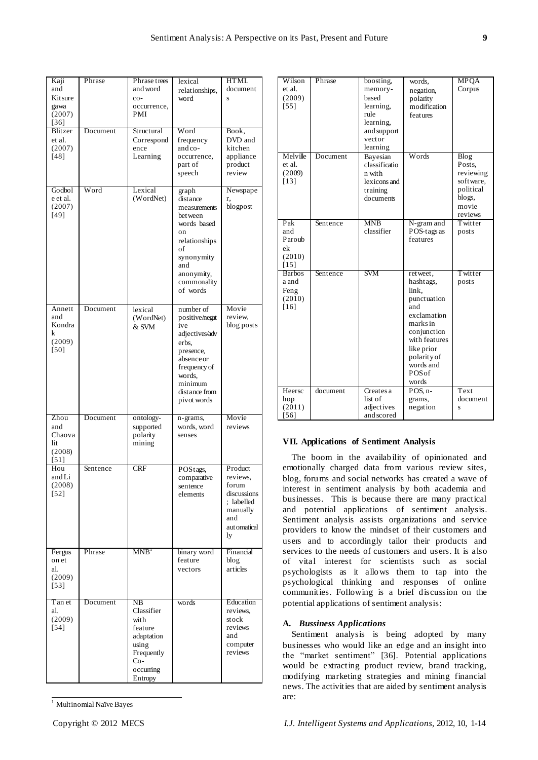| Kaji<br>and<br>Kitsure<br>gawa<br>(2007)<br>$[36]$<br><b>Blitzer</b> | Phrase<br>Document | Phrase trees<br>and word<br>$CO-$<br>occurrence,<br>PMI<br>Structural                                   | lexical<br>relationships,<br>word<br>Word                                                                                                                     | <b>HTML</b><br>document<br>S<br>Book,                                                              |
|----------------------------------------------------------------------|--------------------|---------------------------------------------------------------------------------------------------------|---------------------------------------------------------------------------------------------------------------------------------------------------------------|----------------------------------------------------------------------------------------------------|
| et al.<br>(2007)<br>$[48]$                                           |                    | Correspond<br>ence<br>Learning                                                                          | frequency<br>and co-<br>occurrence,<br>part of<br>speech                                                                                                      | DVD and<br>kitchen<br>appliance<br>product<br>review                                               |
| Godbol<br>e et al.<br>(2007)<br>[49]                                 | Word               | Lexical<br>(WordNet)                                                                                    | graph<br>distance<br>measurements<br>bet ween<br>words based<br>on<br>relationships<br>of<br>synonymity<br>and<br>anonymity,<br>commonality<br>of words       | Newspape<br>r,<br>blogpost                                                                         |
| Annett<br>and<br>Kondra<br>k<br>(2009)<br>[50]                       | Document           | lexical<br>(WordNet)<br>& SVM                                                                           | number of<br>positive/negat<br>ive<br>adjectives/adv<br>erbs.<br>presence,<br>absence or<br>frequency of<br>words.<br>minimum<br>distance from<br>pivot words | Movie<br>review,<br>blog posts                                                                     |
| Zhou<br>and<br>Chaova<br>lit<br>(2008)<br>$[51]$                     | Document           | ontology-<br>supported<br>polarity<br>mining                                                            | n-grams,<br>words, word<br>senses                                                                                                                             | Movie<br>reviews                                                                                   |
| Hou<br>andLi<br>(2008)<br>$[52]$                                     | Sentence           | <b>CRF</b>                                                                                              | POStags,<br>comparative<br>sentence<br>elements                                                                                                               | Product<br>reviews,<br>forum<br>discussions<br>; labelled<br>manually<br>and<br>aut omatical<br>ly |
| Fergus<br>on et<br>al.<br>(2009)<br>$[53]$                           | Phrase             | MNB <sup>1</sup>                                                                                        | binary word<br>feature<br>vectors                                                                                                                             | Financial<br>blog<br>articles                                                                      |
| T an et<br>al.<br>(2009)<br>$[54]$                                   | Document           | NB<br>Classifier<br>with<br>feature<br>adaptation<br>using<br>Frequently<br>Co-<br>occurring<br>Entropy | words                                                                                                                                                         | Education<br>reviews,<br>stock<br>reviews<br>and<br>computer<br>reviews                            |

l <sup>1</sup> Multinomial Na we Bayes

| Wilson        | Phrase   | boosting,     | words.        | <b>MPOA</b> |
|---------------|----------|---------------|---------------|-------------|
| et al.        |          | memory-       | negation,     | Corpus      |
| (2009)        |          | based         | polarity      |             |
| $[55]$        |          | learning,     | modification  |             |
|               |          | rule          | features      |             |
|               |          | learning,     |               |             |
|               |          | and support   |               |             |
|               |          | vector        |               |             |
|               |          | learning      |               |             |
| Melville      | Document | Bayesian      | Words         | Blog        |
| et al.        |          | classificatio |               | Posts.      |
| (2009)        |          | n with        |               | reviewing   |
| $[13]$        |          | lexicons and  |               | software,   |
|               |          | training      |               | political   |
|               |          | documents     |               | blogs,      |
|               |          |               |               | movie       |
|               |          |               |               | reviews     |
| Pak           | Sentence | <b>MNB</b>    | N-gram and    | Twitter     |
| and           |          | classifier    | POS-tags as   | posts       |
| Parouh        |          |               | features      |             |
| ek            |          |               |               |             |
| (2010)        |          |               |               |             |
| [15]          |          |               |               |             |
| <b>Barbos</b> | Sentence | <b>SVM</b>    | retweet.      | Twitter     |
| a and         |          |               | hashtags,     | posts       |
| Feng          |          |               | link.         |             |
| (2010)        |          |               | punctuation   |             |
|               |          |               | and           |             |
| [16]          |          |               |               |             |
|               |          |               | exclamation   |             |
|               |          |               | marks in      |             |
|               |          |               | conjunction   |             |
|               |          |               | with features |             |
|               |          |               | like prior    |             |
|               |          |               | polarity of   |             |
|               |          |               | words and     |             |
|               |          |               | POSof         |             |
|               |          |               | words         |             |
| Heersc        | document | Creates a     | POS. n-       | Text        |
| hop           |          | list of       | grams,        | document    |
| (2011)        |          | adjectives    | negation      | S           |
| $[56]$        |          | and scored    |               |             |

## **VII. Applications of Sentiment Analysis**

The boom in the availability of opinionated and emotionally charged data from various review sites, blog, forums and social networks has created a wave of interest in sentiment analysis by both academia and businesses. This is because there are many practical and potential applications of sentiment analysis. Sentiment analysis assists organizations and service providers to know the mindset of their customers and users and to accordingly tailor their products and services to the needs of customers and users. It is also of vital interest for scientists such as social psychologists as it allows them to tap into the psychological thinking and responses of online communities. Following is a brief discussion on the potential applications of sentiment analysis:

#### **A.** *Bussiness Applications*

Sentiment analysis is being adopted by many businesses who would like an edge and an insight into the "market sentiment" [36]. Potential applications would be extracting product review, brand tracking, modifying marketing strategies and mining financial news. The activities that are aided by sentiment analysis are:

Copyright © 2012 MECS *I.J. Intelligent Systems and Applications,* 2012, 10, 1-14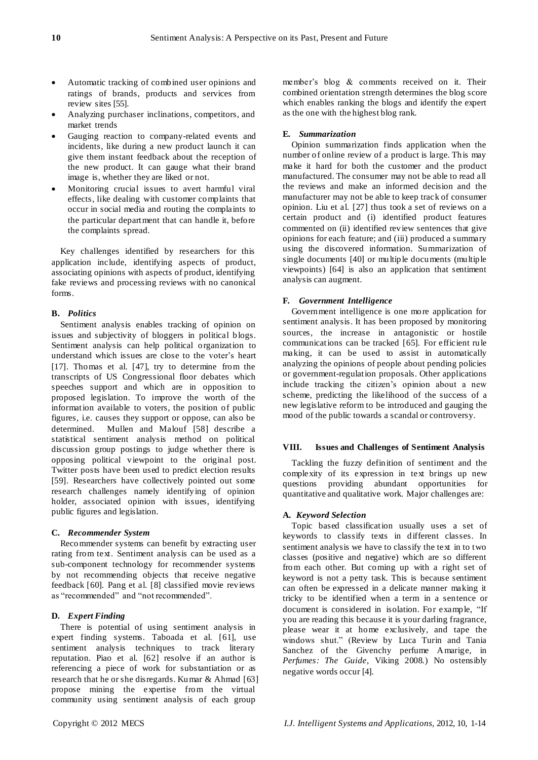- Automatic tracking of combined user opinions and ratings of brands, products and services from review sites [55].
- Analyzing purchaser inclinations, competitors, and market trends
- Gauging reaction to company-related events and incidents, like during a new product launch it can give them instant feedback about the reception of the new product. It can gauge what their brand image is, whether they are liked or not.
- Monitoring crucial issues to avert harmful viral effects, like dealing with customer complaints that occur in social media and routing the complaints to the particular department that can handle it, before the complaints spread.

Key challenges identified by researchers for this application include, identifying aspects of product, associating opinions with aspects of product, identifying fake reviews and processing reviews with no canonical forms.

# **B.** *Politics*

Sentiment analysis enables tracking of opinion on issues and subjectivity of bloggers in political blogs. Sentiment analysis can help political organization to understand which issues are close to the voter's heart [17]. Thomas et al. [47], try to determine from the transcripts of US Congressional floor debates which speeches support and which are in opposition to proposed legislation. To improve the worth of the information available to voters, the position of public figures, i.e. causes they support or oppose, can also be determined. Mullen and Malouf [58] describe a statistical sentiment analysis method on political discussion group postings to judge whether there is opposing political viewpoint to the original post. Twitter posts have been used to predict election results [59]. Researchers have collectively pointed out some research challenges namely identifying of opinion holder, associated opinion with issues, identifying public figures and legislation.

## **C.** *Recommender System*

Recommender systems can benefit by extracting user rating from text. Sentiment analysis can be used as a sub-component technology for recommender systems by not recommending objects that receive negative feedback [60]. Pang et al. [8] classified movie reviews as "recommended" and "not recommended".

# **D.** *Expert Finding*

There is potential of using sentiment analysis in expert finding systems. Taboada et al. [61], use sentiment analysis techniques to track literary reputation. Piao et al. [62] resolve if an author is referencing a piece of work for substantiation or as research that he or she disregards. Kumar & Ahmad [63] propose mining the expertise from the virtual community using sentiment analysis of each group

member's blog & comments received on it. Their combined orientation strength determines the blog score which enables ranking the blogs and identify the expert as the one with the highest blog rank.

# **E.** *Summarization*

Opinion summarization finds application when the number of online review of a product is large. This may make it hard for both the customer and the product manufactured. The consumer may not be able to read all the reviews and make an informed decision and the manufacturer may not be able to keep track of consumer opinion. Liu et al. [27] thus took a set of reviews on a certain product and (i) identified product features commented on (ii) identified review sentences that give opinions for each feature; and (iii) produced a summary using the discovered information. Summarization of single documents [40] or multiple documents (multiple viewpoints) [64] is also an application that sentiment analysis can augment.

# **F.** *Government Intelligence*

Government intelligence is one more application for sentiment analysis. It has been proposed by monitoring sources, the increase in antagonistic or hostile communications can be tracked [65]. For efficient rule making, it can be used to assist in automatically analyzing the opinions of people about pending policies or government-regulation proposals. Other applications include tracking the citizen's opinion about a new scheme, predicting the likelihood of the success of a new legislative reform to be introduced and gauging the mood of the public towards a scandal or controversy.

## **VIII. Issues and Challenges of Sentiment Analysis**

Tackling the fuzzy definition of sentiment and the complexity of its expression in text brings up new questions providing abundant opportunities for quantitative and qualitative work. Major challenges are:

## **A.** *Keyword Selection*

Topic based classification usually uses a set of keywords to classify texts in different classes. In sentiment analysis we have to classify the text in to two classes (positive and negative) which are so different from each other. But coming up with a right set of keyword is not a petty task. This is because sentiment can often be expressed in a delicate manner making it tricky to be identified when a term in a sentence or document is considered in isolation. For example, "If you are reading this because it is your darling fragrance, please wear it at home exclusively, and tape the windows shut." (Review by Luca Turin and Tania Sanchez of the Givenchy perfume Amarige, in *Perfumes: The Guide*, Viking 2008.) No ostensibly negative words occur [4].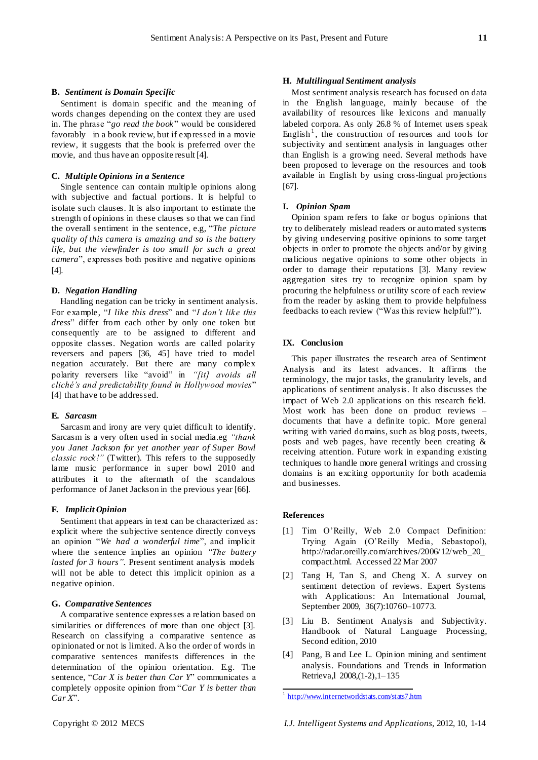## **B.** *Sentiment is Domain Specific*

Sentiment is domain specific and the meaning of words changes depending on the context they are used in. The phrase "*go read the book*" would be considered favorably in a book review, but if expressed in a movie review, it suggests that the book is preferred over the movie, and thus have an opposite result [4].

#### **C.** *Multiple Opinions in a Sentence*

Single sentence can contain multiple opinions along with subjective and factual portions. It is helpful to isolate such clauses. It is also important to estimate the strength of opinions in these clauses so that we can find the overall sentiment in the sentence, e.g, "The picture *quality of this camera is amazing and so is the battery life, but the viewfinder is too small for such a great camera*", expresses both positive and negative opinions [4].

#### **D.** *Negation Handling*

Handling negation can be tricky in sentiment analysis. For example, "*I like this dress*" and "*I don't like this* dress" differ from each other by only one token but consequently are to be assigned to different and opposite classes. Negation words are called polarity reversers and papers [36, 45] have tried to model negation accurately. But there are many complex polarity reversers like "avoid" in "[it] avoids all *cliché"s and predictability found in Hollywood movies*‖ [4] that have to be addressed.

#### **E.** *Sarcasm*

Sarcasm and irony are very quiet difficult to identify. Sarcasm is a very often used in social media.eg *"thank you Janet Jackson for yet another year of Super Bowl classic rock!"* (Twitter). This refers to the supposedly lame music performance in super bowl 2010 and attributes it to the aftermath of the scandalous performance of Janet Jackson in the previous year [66].

#### **F.** *Implicit Opinion*

Sentiment that appears in text can be characterized as: explicit where the subjective sentence directly conveys an opinion "We had a wonderful time", and implicit where the sentence implies an opinion *"The battery lasted for 3 hours"*. Present sentiment analysis models will not be able to detect this implicit opinion as a negative opinion.

#### **G.** *Comparative Sentences*

A comparative sentence expresses a relation based on similarities or differences of more than one object [3]. Research on classifying a comparative sentence as opinionated or not is limited. Also the order of words in comparative sentences manifests differences in the determination of the opinion orientation. E.g. The sentence, "Car X is better than Car Y" communicates a completely opposite opinion from ―*Car Y is better than Car X*‖.

#### **H.** *Multilingual Sentiment analysis*

Most sentiment analysis research has focused on data in the English language, mainly because of the availability of resources like lexicons and manually labeled corpora. As only 26.8 % of Internet users speak English<sup>1</sup>, the construction of resources and tools for subjectivity and sentiment analysis in languages other than English is a growing need. Several methods have been proposed to leverage on the resources and tools available in English by using cross-lingual projections [67].

#### **I.** *Opinion Spam*

Opinion spam refers to fake or bogus opinions that try to deliberately mislead readers or automated systems by giving undeserving positive opinions to some target objects in order to promote the objects and/or by giving malicious negative opinions to some other objects in order to damage their reputations [3]. Many review aggregation sites try to recognize opinion spam by procuring the helpfulness or utility score of each review from the reader by asking them to provide helpfulness feedbacks to each review ("Was this review helpful?").

#### **IX. Conclusion**

This paper illustrates the research area of Sentiment Analysis and its latest advances. It affirms the terminology, the major tasks, the granularity levels, and applications of sentiment analysis. It also discusses the impact of Web 2.0 applications on this research field. Most work has been done on product reviews – documents that have a definite topic. More general writing with varied domains, such as blog posts, tweets, posts and web pages, have recently been creating & receiving attention. Future work in expanding existing techniques to handle more general writings and crossing domains is an exciting opportunity for both academia and businesses.

# **References**

- [1] Tim O'Reilly, Web 2.0 Compact Definition: Trying Again (O'Reilly Media, Sebastopol), http://radar.oreilly.com/archives/2006/12/web\_20\_ compact.html. Accessed 22 Mar 2007
- [2] Tang H, Tan S, and Cheng X. A survey on sentiment detection of reviews. Expert Systems with Applications: An International Journal, September 2009, 36(7):10760–10773.
- [3] Liu B. Sentiment Analysis and Subjectivity. Handbook of Natural Language Processing, Second edition, 2010
- [4] Pang, B and Lee L. Opinion mining and sentiment analysis. Foundations and Trends in Information Retrieva,l 2008,(1-2),1–135

 1 <http://www.internetworldstats.com/stats7.htm>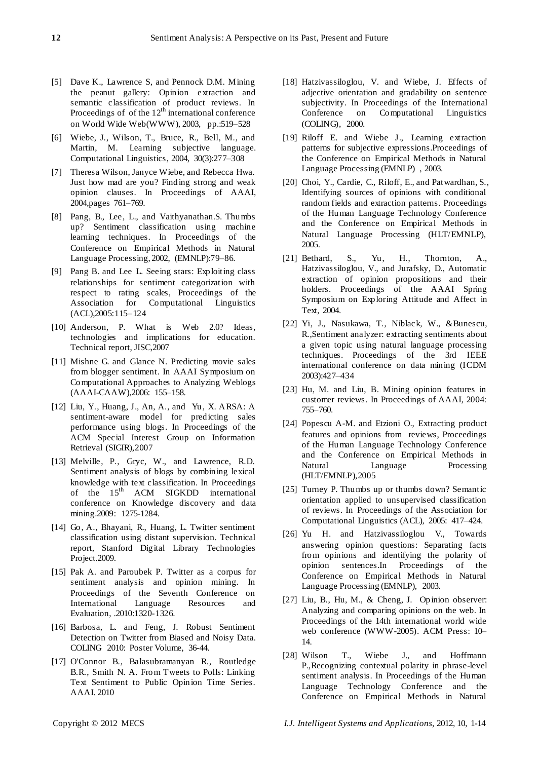- [5] Dave K., Lawrence S, and Pennock D.M. Mining the peanut gallery: Opinion extraction and semantic classification of product reviews. In Proceedings of of the  $12<sup>th</sup>$  international conference on World Wide Web(WWW), 2003, pp.:519–528
- [6] Wiebe, J., Wilson, T., Bruce, R., Bell, M., and Martin, M. Learning subjective language. Computational Linguistics, 2004, 30(3):277–308
- [7] Theresa Wilson, Janyce Wiebe, and Rebecca Hwa. Just how mad are you? Finding strong and weak opinion clauses. In Proceedings of AAAI, 2004,pages 761–769.
- [8] Pang, B., Lee, L., and Vaithyanathan.S. Thumbs up? Sentiment classification using machine learning techniques. In Proceedings of the Conference on Empirical Methods in Natural Language Processing, 2002, (EMNLP):79–86.
- [9] Pang B. and Lee L. Seeing stars: Exploiting class relationships for sentiment categorization with respect to rating scales, Proceedings of the Association for Computational Linguistics (ACL),2005:115–124
- [10] Anderson, P. What is Web 2.0? Ideas, technologies and implications for education. Technical report, JISC,2007
- [11] Mishne G. and Glance N. Predicting movie sales from blogger sentiment. In AAAI Symposium on Computational Approaches to Analyzing Weblogs (AAAI-CAAW),2006: 155–158.
- [12] Liu, Y., Huang, J., An, A., and Yu, X. ARSA: A sentiment-aware model for predicting sales performance using blogs. In Proceedings of the ACM Special Interest Group on Information Retrieval (SIGIR),2007
- [13] Melville, P., Gryc, W., and Lawrence, R.D. Sentiment analysis of blogs by combining lexical knowledge with text classification. In Proceedings of the 15<sup>th</sup> ACM SIGKDD international conference on Knowledge discovery and data mining.2009: 1275-1284.
- [14] Go, A., Bhayani, R., Huang, L. Twitter sentiment classification using distant supervision. Technical report, Stanford Digital Library Technologies Project.2009.
- [15] Pak A. and Paroubek P. Twitter as a corpus for sentiment analysis and opinion mining. In Proceedings of the Seventh Conference on International Language Resources and Evaluation, .2010:1320-1326.
- [16] Barbosa, L. and Feng, J. Robust Sentiment Detection on Twitter from Biased and Noisy Data. COLING 2010: Poster Volume, 36-44.
- [17] O'Connor B., Balasubramanyan R., Routledge B.R., Smith N. A. From Tweets to Polls: Linking Text Sentiment to Public Opinion Time Series. AAAI. 2010
- [18] Hatzivassiloglou, V. and Wiebe, J. Effects of adjective orientation and gradability on sentence subjectivity. In Proceedings of the International Conference on Computational Linguistics (COLING), 2000.
- [19] Riloff E. and Wiebe J., Learning extraction patterns for subjective expressions.Proceedings of the Conference on Empirical Methods in Natural Language Processing (EMNLP) , 2003.
- [20] Choi, Y., Cardie, C., Riloff, E., and Patwardhan, S., Identifying sources of opinions with conditional random fields and extraction patterns. Proceedings of the Human Language Technology Conference and the Conference on Empirical Methods in Natural Language Processing (HLT/EMNLP), 2005.
- [21] Bethard, S., Yu, H., Thornton, A., Hatzivassiloglou, V., and Jurafsky, D., Automatic extraction of opinion propositions and their holders. Proceedings of the AAAI Spring Symposium on Exploring Attitude and Affect in Text, 2004.
- [22] Yi, J., Nasukawa, T., Niblack, W., &Bunescu, R.,Sentiment analyzer: extracting sentiments about a given topic using natural language processing techniques. Proceedings of the 3rd IEEE international conference on data mining (ICDM 2003):427–434
- [23] Hu, M. and Liu, B. Mining opinion features in customer reviews. In Proceedings of AAAI, 2004: 755–760.
- [24] Popescu A-M. and Etzioni O., Extracting product features and opinions from reviews, Proceedings of the Human Language Technology Conference and the Conference on Empirical Methods in Natural Language Processing (HLT/EMNLP),2005
- [25] Turney P. Thumbs up or thumbs down? Semantic orientation applied to unsupervised classification of reviews. In Proceedings of the Association for Computational Linguistics (ACL), 2005: 417–424.
- [26] Yu H. and Hatzivassiloglou V., Towards answering opinion questions: Separating facts from opinions and identifying the polarity of opinion sentences.In Proceedings of the Conference on Empirical Methods in Natural Language Processing (EMNLP), 2003.
- [27] Liu, B., Hu, M., & Cheng, J. Opinion observer: Analyzing and comparing opinions on the web. In Proceedings of the 14th international world wide web conference (WWW-2005). ACM Press: 10– 14.
- [28] Wilson T., Wiebe J., and Hoffmann P.,Recognizing contextual polarity in phrase-level sentiment analysis. In Proceedings of the Human Language Technology Conference and the Conference on Empirical Methods in Natural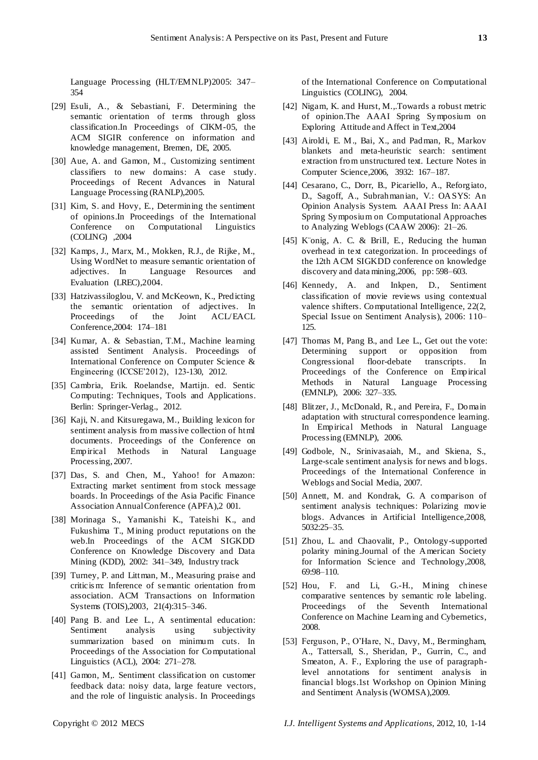Language Processing (HLT/EMNLP)2005: 347– 354

- [29] Esuli, A., & Sebastiani, F. Determining the semantic orientation of terms through gloss classification.In Proceedings of CIKM-05, the ACM SIGIR conference on information and knowledge management, Bremen, DE, 2005.
- [30] Aue, A. and Gamon, M., Customizing sentiment classifiers to new domains: A case study. Proceedings of Recent Advances in Natural Language Processing (RANLP),2005.
- [31] Kim, S. and Hovy, E., Determining the sentiment of opinions.In Proceedings of the International Conference on Computational Linguistics (COLING) ,2004
- [32] Kamps, J., Marx, M., Mokken, R.J., de Rijke, M., Using WordNet to measure semantic orientation of adjectives. In Language Resources and Evaluation (LREC),2004.
- [33] Hatzivassiloglou, V. and McKeown, K., Predicting the semantic orientation of adjectives. In Proceedings of the Joint ACL/EACL Conference,2004: 174–181
- [34] Kumar, A. & Sebastian, T.M., Machine learning assisted Sentiment Analysis. Proceedings of International Conference on Computer Science & Engineering (ICCSE'2012), 123-130, 2012.
- [35] Cambria, Erik. Roelandse, Martijn. ed. Sentic Computing: Techniques, Tools and Applications. Berlin: Springer-Verlag., 2012.
- [36] Kaji, N. and Kitsuregawa, M., Building lexicon for sentiment analysis from massive collection of html documents. Proceedings of the Conference on Empirical Methods in Natural Language Processing, 2007.
- [37] Das, S. and Chen, M., Yahoo! for Amazon: Extracting market sentiment from stock message boards. In Proceedings of the Asia Pacific Finance Association Annual Conference (APFA),2 001.
- [38] Morinaga S., Yamanishi K., Tateishi K., and Fukushima T., Mining product reputations on the web.In Proceedings of the ACM SIGKDD Conference on Knowledge Discovery and Data Mining (KDD), 2002: 341–349, Industry track
- [39] Turney, P. and Littman, M., Measuring praise and criticis m: Inference of semantic orientation from association. ACM Transactions on Information Systems (TOIS),2003, 21(4):315–346.
- [40] Pang B. and Lee L., A sentimental education: Sentiment analysis using subjectivity summarization based on minimum cuts. In Proceedings of the Association for Computational Linguistics (ACL), 2004: 271–278.
- [41] Gamon, M,. Sentiment classification on customer feedback data: noisy data, large feature vectors, and the role of linguistic analysis. In Proceedings

of the International Conference on Computational Linguistics (COLING), 2004.

- [42] Nigam, K. and Hurst, M.,.Towards a robust metric of opinion.The AAAI Spring Symposium on Exploring Attitude and Affect in Text,2004
- [43] Airoldi, E. M., Bai, X., and Padman, R., Markov blankets and meta-heuristic search: sentiment extraction from unstructured text. Lecture Notes in Computer Science,2006, 3932: 167–187.
- [44] Cesarano, C., Dorr, B., Picariello, A., Reforgiato, D., Sagoff, A., Subrahmanian, V.: OASYS: An Opinion Analysis System. AAAI Press In: AAAI Spring Symposium on Computational Approaches to Analyzing Weblogs (CAAW 2006): 21–26.
- [45] König, A. C. & Brill, E., Reducing the human overhead in text categorization. In proceedings of the 12th ACM SIGKDD conference on knowledge discovery and data mining,2006, pp: 598–603.
- [46] Kennedy, A. and Inkpen, D., Sentiment classification of movie reviews using contextual valence shifters. Computational Intelligence, 22(2, Special Issue on Sentiment Analysis), 2006: 110– 125.
- [47] Thomas M, Pang B., and Lee L., Get out the vote: Determining support or opposition from Congressional floor-debate transcripts. In Proceedings of the Conference on Empirical Methods in Natural Language Processing (EMNLP), 2006: 327–335.
- [48] Blitzer, J., McDonald, R., and Pereira, F., Domain adaptation with structural correspondence learning. In Empirical Methods in Natural Language Processing (EMNLP), 2006.
- [49] Godbole, N., Srinivasaiah, M., and Skiena, S., Large-scale sentiment analysis for news and blogs. Proceedings of the International Conference in Weblogs and Social Media, 2007.
- [50] Annett, M. and Kondrak, G. A comparison of sentiment analysis techniques: Polarizing movie blogs. Advances in Artificial Intelligence,2008, 5032:25–35.
- [51] Zhou, L. and Chaovalit, P., Ontology-supported polarity mining.Journal of the American Society for Information Science and Technology,2008, 69:98–110.
- [52] Hou, F. and Li, G.-H., Mining chinese comparative sentences by semantic role labeling. Proceedings of the Seventh International Conference on Machine Learning and Cybernetics, 2008.
- [53] Ferguson, P., O'Hare, N., Davy, M., Bermingham, A., Tattersall, S., Sheridan, P., Gurrin, C., and Smeaton, A. F., Exploring the use of paragraphlevel annotations for sentiment analysis in financial blogs.1st Workshop on Opinion Mining and Sentiment Analysis (WOMSA),2009.